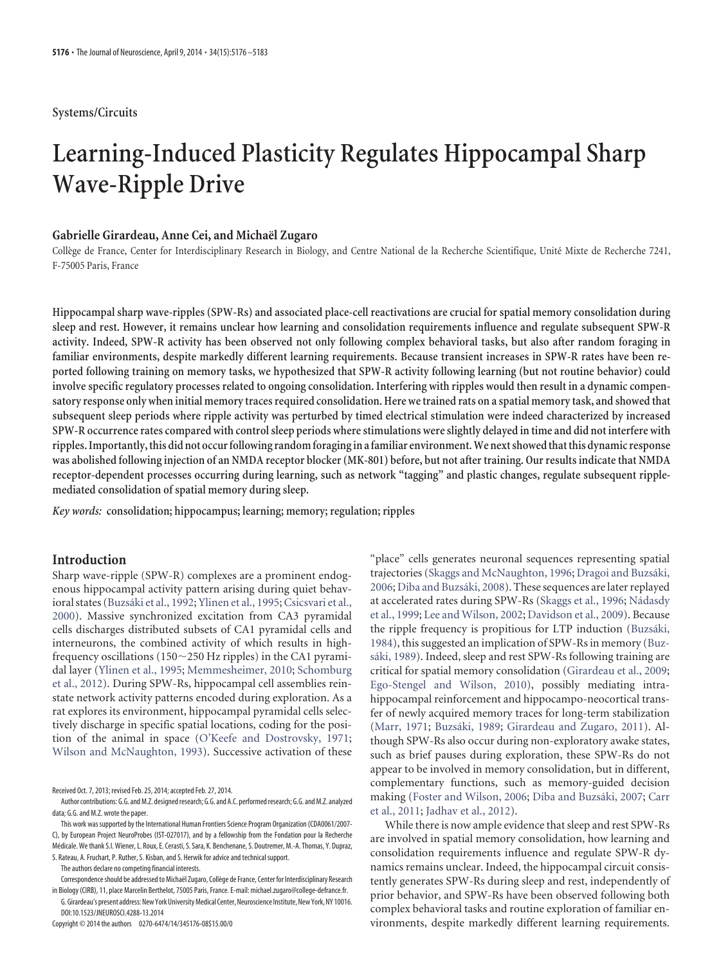### **Systems/Circuits**

# **Learning-Induced Plasticity Regulates Hippocampal Sharp Wave-Ripple Drive**

## **Gabrielle Girardeau, Anne Cei, and Michaël Zugaro**

Collège de France, Center for Interdisciplinary Research in Biology, and Centre National de la Recherche Scientifique, Unité Mixte de Recherche 7241, F-75005 Paris, France

**Hippocampal sharp wave-ripples (SPW-Rs) and associated place-cell reactivations are crucial for spatial memory consolidation during sleep and rest. However, it remains unclear how learning and consolidation requirements influence and regulate subsequent SPW-R activity. Indeed, SPW-R activity has been observed not only following complex behavioral tasks, but also after random foraging in familiar environments, despite markedly different learning requirements. Because transient increases in SPW-R rates have been reported following training on memory tasks, we hypothesized that SPW-R activity following learning (but not routine behavior) could involve specific regulatory processes related to ongoing consolidation. Interfering with ripples would then result in a dynamic compensatory response only when initial memory traces required consolidation. Here we trained rats on a spatial memory task, and showed that subsequent sleep periods where ripple activity was perturbed by timed electrical stimulation were indeed characterized by increased SPW-R occurrence rates compared with control sleep periods where stimulations were slightly delayed in time and did not interfere with ripples. Importantly,this did not occurfollowing randomforagingin afamiliar environment.We next showedthatthis dynamic response was abolished following injection of an NMDA receptor blocker (MK-801) before, but not after training. Our results indicate that NMDA receptor-dependent processes occurring during learning, such as network "tagging" and plastic changes, regulate subsequent ripplemediated consolidation of spatial memory during sleep.**

*Key words:* **consolidation; hippocampus; learning; memory; regulation; ripples**

### **Introduction**

Sharp wave-ripple (SPW-R) complexes are a prominent endogenous hippocampal activity pattern arising during quiet behav-ioral states (Buzsáki et al., 1992; [Ylinen et al., 1995;](#page-7-0) [Csicsvari et al.,](#page-6-1) [2000\)](#page-6-1). Massive synchronized excitation from CA3 pyramidal cells discharges distributed subsets of CA1 pyramidal cells and interneurons, the combined activity of which results in highfrequency oscillations (150~250 Hz ripples) in the CA1 pyramidal layer [\(Ylinen et al., 1995;](#page-7-0) [Memmesheimer, 2010;](#page-6-2) [Schomburg](#page-7-1) [et al., 2012\)](#page-7-1). During SPW-Rs, hippocampal cell assemblies reinstate network activity patterns encoded during exploration. As a rat explores its environment, hippocampal pyramidal cells selectively discharge in specific spatial locations, coding for the position of the animal in space [\(O'Keefe and Dostrovsky, 1971;](#page-7-2) [Wilson and McNaughton, 1993\)](#page-7-3). Successive activation of these

Received Oct. 7, 2013; revised Feb. 25, 2014; accepted Feb. 27, 2014.

The authors declare no competing financial interests.

Correspondence should be addressed to Michaël Zugaro, Collège de France, Center for Interdisciplinary Research in Biology (CIRB), 11, place Marcelin Berthelot, 75005 Paris, France. E-mail: michael.zugaro@college-defrance.fr. G. Girardeau's present address: New York University Medical Center, Neuroscience Institute, New York, NY 10016. DOI:10.1523/JNEUROSCI.4288-13.2014

Copyright © 2014 the authors 0270-6474/14/345176-08\$15.00/0

"place" cells generates neuronal sequences representing spatial trajectories [\(Skaggs and McNaughton, 1996;](#page-7-4) Dragoi and Buzsáki, [2006;](#page-6-3) Diba and Buzsáki, 2008). These sequences are later replayed at accelerated rates during SPW-Rs [\(Skaggs et al., 1996;](#page-7-4) Nádasdy [et al., 1999;](#page-7-5) [Lee and Wilson, 2002;](#page-6-5) [Davidson et al., 2009\)](#page-6-6). Because the ripple frequency is propitious for LTP induction (Buzsáki, [1984\)](#page-6-7), this suggested an implication of SPW-Rs in memory [\(Buz](#page-6-8)sáki, 1989). Indeed, sleep and rest SPW-Rs following training are critical for spatial memory consolidation [\(Girardeau et al., 2009;](#page-6-9) [Ego-Stengel and Wilson, 2010\)](#page-6-10), possibly mediating intrahippocampal reinforcement and hippocampo-neocortical transfer of newly acquired memory traces for long-term stabilization [\(Marr, 1971;](#page-6-11) Buzsáki, 1989; [Girardeau and Zugaro, 2011\)](#page-6-12). Although SPW-Rs also occur during non-exploratory awake states, such as brief pauses during exploration, these SPW-Rs do not appear to be involved in memory consolidation, but in different, complementary functions, such as memory-guided decision making [\(Foster and Wilson, 2006;](#page-6-13) Diba and Buzsáki, 2007; [Carr](#page-6-15) [et al., 2011;](#page-6-15) [Jadhav et al., 2012\)](#page-6-16).

While there is now ample evidence that sleep and rest SPW-Rs are involved in spatial memory consolidation, how learning and consolidation requirements influence and regulate SPW-R dynamics remains unclear. Indeed, the hippocampal circuit consistently generates SPW-Rs during sleep and rest, independently of prior behavior, and SPW-Rs have been observed following both complex behavioral tasks and routine exploration of familiar environments, despite markedly different learning requirements.

Author contributions: G.G. and M.Z. designed research; G.G. and A.C. performed research; G.G. and M.Z. analyzed data; G.G. and M.Z. wrote the paper.

This work was supported by the International Human Frontiers Science Program Organization (CDA0061/2007- C), by European Project NeuroProbes (IST-027017), and by a fellowship from the Fondation pour la Recherche Médicale. We thank S.I. Wiener, L. Roux, E. Cerasti, S. Sara, K. Benchenane, S. Doutremer, M.-A. Thomas, Y. Dupraz, S. Rateau, A. Fruchart, P. Ruther, S. Kisban, and S. Herwik for advice and technical support.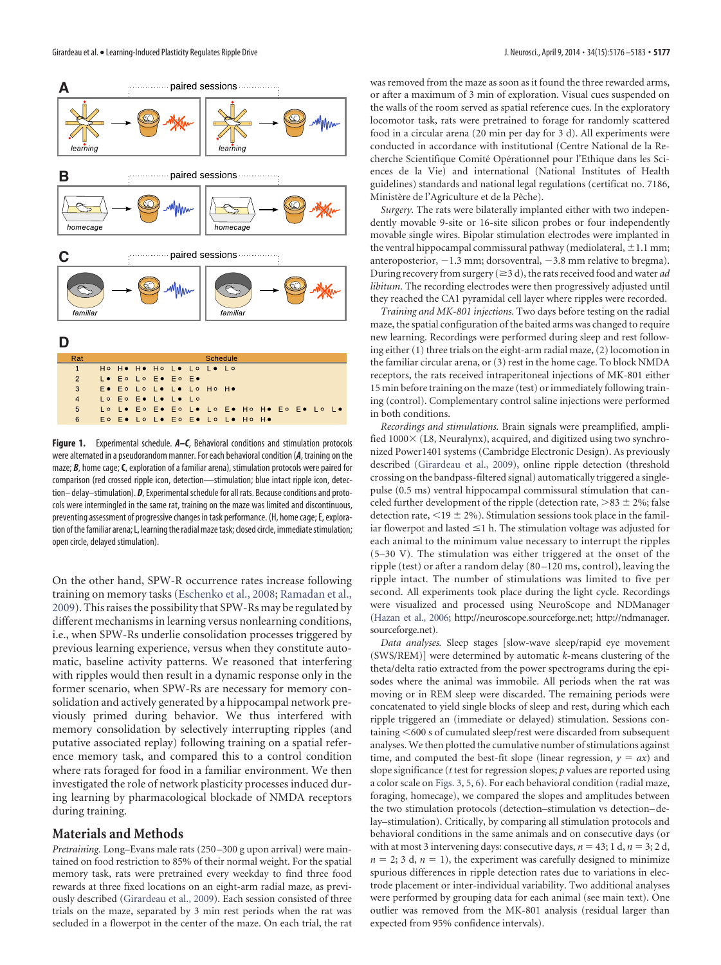

<span id="page-1-0"></span>**Figure 1.** Experimental schedule. *A–C*, Behavioral conditions and stimulation protocols were alternated in a pseudorandom manner. For each behavioral condition (*A*, training on the maze; *B*, home cage;**C**, exploration of a familiar arena), stimulation protocols were paired for comparison (red crossed ripple icon, detection—stimulation; blue intact ripple icon, detection– delay–stimulation). *D*, Experimental schedule for all rats. Because conditions and protocols were intermingled in the same rat, training on the maze was limited and discontinuous, preventing assessment of progressive changes in task performance. (H, home cage; E, exploration of the familiar arena; L, learning the radial maze task; closed circle, immediate stimulation; open circle, delayed stimulation).

On the other hand, SPW-R occurrence rates increase following training on memory tasks [\(Eschenko et al., 2008;](#page-6-17) [Ramadan et al.,](#page-7-6) [2009\)](#page-7-6). This raises the possibility that SPW-Rs may be regulated by different mechanisms in learning versus nonlearning conditions, i.e., when SPW-Rs underlie consolidation processes triggered by previous learning experience, versus when they constitute automatic, baseline activity patterns. We reasoned that interfering with ripples would then result in a dynamic response only in the former scenario, when SPW-Rs are necessary for memory consolidation and actively generated by a hippocampal network previously primed during behavior. We thus interfered with memory consolidation by selectively interrupting ripples (and putative associated replay) following training on a spatial reference memory task, and compared this to a control condition where rats foraged for food in a familiar environment. We then investigated the role of network plasticity processes induced during learning by pharmacological blockade of NMDA receptors during training.

## **Materials and Methods**

*Pretraining.* Long–Evans male rats (250 –300 g upon arrival) were maintained on food restriction to 85% of their normal weight. For the spatial memory task, rats were pretrained every weekday to find three food rewards at three fixed locations on an eight-arm radial maze, as previously described [\(Girardeau et al., 2009\)](#page-6-9). Each session consisted of three trials on the maze, separated by 3 min rest periods when the rat was secluded in a flowerpot in the center of the maze. On each trial, the rat was removed from the maze as soon as it found the three rewarded arms, or after a maximum of 3 min of exploration. Visual cues suspended on the walls of the room served as spatial reference cues. In the exploratory locomotor task, rats were pretrained to forage for randomly scattered food in a circular arena (20 min per day for 3 d). All experiments were conducted in accordance with institutional (Centre National de la Recherche Scientifique Comité Opérationnel pour l'Ethique dans les Sciences de la Vie) and international (National Institutes of Health guidelines) standards and national legal regulations (certificat no. 7186, Ministère de l'Agriculture et de la Pêche).

*Surgery.* The rats were bilaterally implanted either with two independently movable 9-site or 16-site silicon probes or four independently movable single wires. Bipolar stimulation electrodes were implanted in the ventral hippocampal commissural pathway (mediolateral,  $\pm$ 1.1 mm; anteroposterior,  $-1.3$  mm; dorsoventral,  $-3.8$  mm relative to bregma). During recovery from surgery ( $\geq$ 3 d), the rats received food and water *ad libitum*. The recording electrodes were then progressively adjusted until they reached the CA1 pyramidal cell layer where ripples were recorded.

*Training and MK-801 injections.* Two days before testing on the radial maze, the spatial configuration of the baited arms was changed to require new learning. Recordings were performed during sleep and rest following either (1) three trials on the eight-arm radial maze, (2) locomotion in the familiar circular arena, or (3) rest in the home cage. To block NMDA receptors, the rats received intraperitoneal injections of MK-801 either 15 min before training on the maze (test) or immediately following training (control). Complementary control saline injections were performed in both conditions.

*Recordings and stimulations.* Brain signals were preamplified, amplified  $1000 \times$  (L8, Neuralynx), acquired, and digitized using two synchronized Power1401 systems (Cambridge Electronic Design). As previously described [\(Girardeau et al., 2009\)](#page-6-9), online ripple detection (threshold crossing on the bandpass-filtered signal) automatically triggered a singlepulse (0.5 ms) ventral hippocampal commissural stimulation that canceled further development of the ripple (detection rate,  $>83 \pm 2\%$ ; false detection rate,  $\leq$  19  $\pm$  2%). Stimulation sessions took place in the familiar flowerpot and lasted  $\leq$ 1 h. The stimulation voltage was adjusted for each animal to the minimum value necessary to interrupt the ripples (5–30 V). The stimulation was either triggered at the onset of the ripple (test) or after a random delay (80 –120 ms, control), leaving the ripple intact. The number of stimulations was limited to five per second. All experiments took place during the light cycle. Recordings were visualized and processed using NeuroScope and NDManager [\(Hazan et al., 2006;](#page-6-18) [http://neuroscope.sourceforge.net;](http://neuroscope.sourceforge.net) [http://ndmanager.](http://ndmanager.sourceforge.net) [sourceforge.net\)](http://ndmanager.sourceforge.net).

*Data analyses.* Sleep stages [slow-wave sleep/rapid eye movement (SWS/REM)] were determined by automatic *k*-means clustering of the theta/delta ratio extracted from the power spectrograms during the episodes where the animal was immobile. All periods when the rat was moving or in REM sleep were discarded. The remaining periods were concatenated to yield single blocks of sleep and rest, during which each ripple triggered an (immediate or delayed) stimulation. Sessions containing <600 s of cumulated sleep/rest were discarded from subsequent analyses. We then plotted the cumulative number of stimulations against time, and computed the best-fit slope (linear regression,  $y = ax$ ) and slope significance (*t* test for regression slopes; *p* values are reported using a color scale on [Figs. 3,](#page-3-0) [5,](#page-4-0) [6\)](#page-5-0). For each behavioral condition (radial maze, foraging, homecage), we compared the slopes and amplitudes between the two stimulation protocols (detection–stimulation vs detection– delay–stimulation). Critically, by comparing all stimulation protocols and behavioral conditions in the same animals and on consecutive days (or with at most 3 intervening days: consecutive days,  $n = 43$ ; 1 d,  $n = 3$ ; 2 d,  $n = 2$ ; 3 d,  $n = 1$ ), the experiment was carefully designed to minimize spurious differences in ripple detection rates due to variations in electrode placement or inter-individual variability. Two additional analyses were performed by grouping data for each animal (see main text). One outlier was removed from the MK-801 analysis (residual larger than expected from 95% confidence intervals).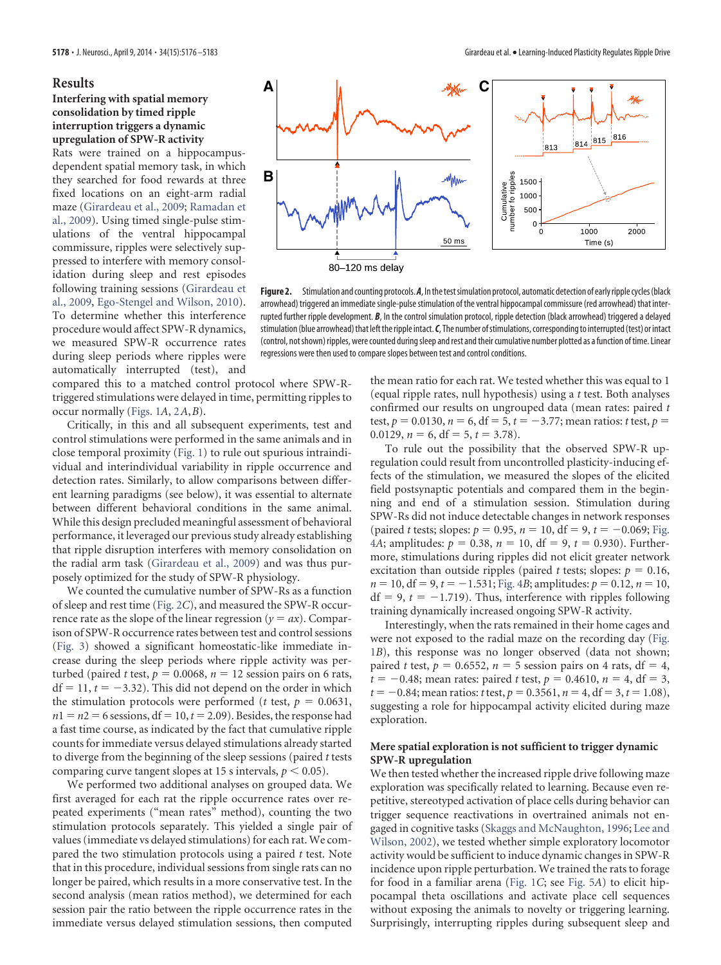#### **Results**

## **Interfering with spatial memory consolidation by timed ripple interruption triggers a dynamic upregulation of SPW-R activity**

Rats were trained on a hippocampusdependent spatial memory task, in which they searched for food rewards at three fixed locations on an eight-arm radial maze [\(Girardeau et al., 2009;](#page-6-9) [Ramadan et](#page-7-6) [al., 2009\)](#page-7-6). Using timed single-pulse stimulations of the ventral hippocampal commissure, ripples were selectively suppressed to interfere with memory consolidation during sleep and rest episodes following training sessions [\(Girardeau et](#page-6-9) [al., 2009,](#page-6-9) [Ego-Stengel and Wilson, 2010\)](#page-6-10). To determine whether this interference procedure would affect SPW-R dynamics, we measured SPW-R occurrence rates during sleep periods where ripples were automatically interrupted (test), and

compared this to a matched control protocol where SPW-Rtriggered stimulations were delayed in time, permitting ripples to occur normally [\(Figs. 1](#page-1-0)*A*, [2](#page-2-0)*A*,*B*).

Critically, in this and all subsequent experiments, test and control stimulations were performed in the same animals and in close temporal proximity [\(Fig. 1\)](#page-1-0) to rule out spurious intraindividual and interindividual variability in ripple occurrence and detection rates. Similarly, to allow comparisons between different learning paradigms (see below), it was essential to alternate between different behavioral conditions in the same animal. While this design precluded meaningful assessment of behavioral performance, it leveraged our previous study already establishing that ripple disruption interferes with memory consolidation on the radial arm task [\(Girardeau et al., 2009\)](#page-6-9) and was thus purposely optimized for the study of SPW-R physiology.

We counted the cumulative number of SPW-Rs as a function of sleep and rest time [\(Fig. 2](#page-2-0)*C*), and measured the SPW-R occurrence rate as the slope of the linear regression ( $y = ax$ ). Comparison of SPW-R occurrence rates between test and control sessions [\(Fig. 3\)](#page-3-0) showed a significant homeostatic-like immediate increase during the sleep periods where ripple activity was perturbed (paired *t* test,  $p = 0.0068$ ,  $n = 12$  session pairs on 6 rats,  $df = 11$ ,  $t = -3.32$ ). This did not depend on the order in which the stimulation protocols were performed ( $t$  test,  $p = 0.0631$ ,  $n1 = n2 = 6$  sessions,  $df = 10$ ,  $t = 2.09$ ). Besides, the response had a fast time course, as indicated by the fact that cumulative ripple counts for immediate versus delayed stimulations already started to diverge from the beginning of the sleep sessions (paired *t* tests comparing curve tangent slopes at 15 s intervals,  $p < 0.05$ ).

We performed two additional analyses on grouped data. We first averaged for each rat the ripple occurrence rates over repeated experiments ("mean rates" method), counting the two stimulation protocols separately. This yielded a single pair of values (immediate vs delayed stimulations) for each rat. We compared the two stimulation protocols using a paired *t* test. Note that in this procedure, individual sessions from single rats can no longer be paired, which results in a more conservative test. In the second analysis (mean ratios method), we determined for each session pair the ratio between the ripple occurrence rates in the immediate versus delayed stimulation sessions, then computed the mean ratio for each rat. We tested whether this was equal to 1 (equal ripple rates, null hypothesis) using a *t* test. Both analyses confirmed our results on ungrouped data (mean rates: paired *t* test,  $p = 0.0130$ ,  $n = 6$ ,  $df = 5$ ,  $t = -3.77$ ; mean ratios: *t* test,  $p =$ 0.0129,  $n = 6$ , df = 5,  $t = 3.78$ ).

To rule out the possibility that the observed SPW-R upregulation could result from uncontrolled plasticity-inducing effects of the stimulation, we measured the slopes of the elicited field postsynaptic potentials and compared them in the beginning and end of a stimulation session. Stimulation during SPW-Rs did not induce detectable changes in network responses (paired *t* tests; slopes:  $p = 0.95$ ,  $n = 10$ , df = 9,  $t = -0.069$ ; [Fig.](#page-3-1) [4](#page-3-1)*A*; amplitudes:  $p = 0.38$ ,  $n = 10$ , df = 9,  $t = 0.930$ ). Furthermore, stimulations during ripples did not elicit greater network excitation than outside ripples (paired *t* tests; slopes:  $p = 0.16$ ,  $n = 10$ , df = 9,  $t = -1.531$ ; [Fig. 4](#page-3-1)*B*; amplitudes:  $p = 0.12$ ,  $n = 10$ ,  $df = 9$ ,  $t = -1.719$ ). Thus, interference with ripples following training dynamically increased ongoing SPW-R activity.

Interestingly, when the rats remained in their home cages and were not exposed to the radial maze on the recording day [\(Fig.](#page-1-0) [1](#page-1-0)*B*), this response was no longer observed (data not shown; paired *t* test,  $p = 0.6552$ ,  $n = 5$  session pairs on 4 rats, df = 4,  $t = -0.48$ ; mean rates: paired *t* test,  $p = 0.4610$ ,  $n = 4$ , df = 3,  $t = -0.84$ ; mean ratios: *t* test,  $p = 0.3561$ ,  $n = 4$ , df = 3,  $t = 1.08$ ), suggesting a role for hippocampal activity elicited during maze exploration.

#### **Mere spatial exploration is not sufficient to trigger dynamic SPW-R upregulation**

We then tested whether the increased ripple drive following maze exploration was specifically related to learning. Because even repetitive, stereotyped activation of place cells during behavior can trigger sequence reactivations in overtrained animals not engaged in cognitive tasks [\(Skaggs and McNaughton, 1996;](#page-7-4) [Lee and](#page-6-5) [Wilson, 2002\)](#page-6-5), we tested whether simple exploratory locomotor activity would be sufficient to induce dynamic changes in SPW-R incidence upon ripple perturbation. We trained the rats to forage for food in a familiar arena [\(Fig. 1](#page-1-0)*C*; see [Fig. 5](#page-4-0)*A*) to elicit hippocampal theta oscillations and activate place cell sequences without exposing the animals to novelty or triggering learning. Surprisingly, interrupting ripples during subsequent sleep and



<span id="page-2-0"></span>arrowhead) triggered an immediate single-pulse stimulation of the ventral hippocampal commissure (red arrowhead) that interrupted further ripple development. *B*, In the control simulation protocol, ripple detection (black arrowhead) triggered a delayed stimulation (blue arrowhead) that left the ripple intact. *C*, The number of stimulations, corresponding to interrupted (test) or intact (control, not shown) ripples, were counted during sleep and rest and their cumulative number plotted as a function of time. Linear

regressions were then used to compare slopes between test and control conditions.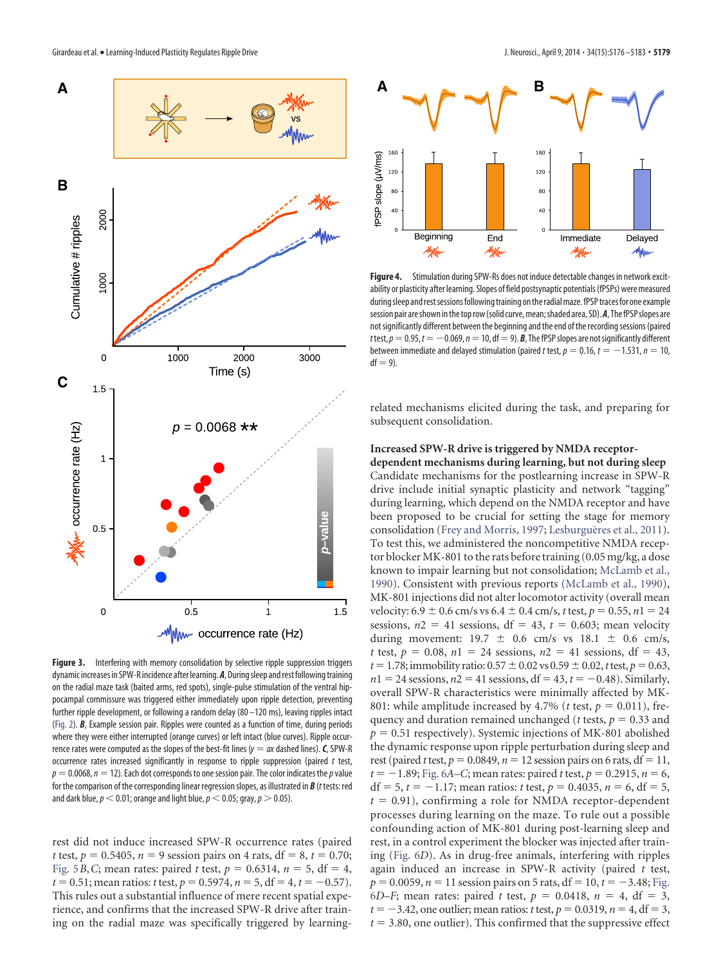

<span id="page-3-0"></span>**Figure 3.** Interfering with memory consolidation by selective ripple suppression triggers dynamic increases in SPW-R incidence after learning. A, During sleep and rest following training on the radial maze task (baited arms, red spots), single-pulse stimulation of the ventral hippocampal commissure was triggered either immediately upon ripple detection, preventing further ripple development, or following a random delay (80 –120 ms), leaving ripples intact [\(Fig. 2\)](#page-2-0). *B*, Example session pair. Ripples were counted as a function of time, during periods where they were either interrupted (orange curves) or left intact (blue curves). Ripple occurrence rates were computed as the slopes of the best-fit lines  $(y = ax$  dashed lines). *C*, SPW-R occurrence rates increased significantly in response to ripple suppression (paired *t* test,  $p = 0.0068$ ,  $n = 12$ ). Each dot corresponds to one session pair. The color indicates the  $p$  value for the comparison of the corresponding linear regressionslopes, as illustrated in *B* (*t* tests: red and dark blue,  $p < 0.01$ ; orange and light blue,  $p < 0.05$ ; gray,  $p > 0.05$ ).

rest did not induce increased SPW-R occurrence rates (paired *t* test,  $p = 0.5405$ ,  $n = 9$  session pairs on 4 rats,  $df = 8$ ,  $t = 0.70$ ; [Fig. 5](#page-4-0)*B*, *C*; mean rates: paired *t* test,  $p = 0.6314$ ,  $n = 5$ , df = 4,  $t = 0.51$ ; mean ratios: *t* test,  $p = 0.5974$ ,  $n = 5$ , df = 4,  $t = -0.57$ ). This rules out a substantial influence of mere recent spatial experience, and confirms that the increased SPW-R drive after training on the radial maze was specifically triggered by learning-



<span id="page-3-1"></span>**Figure 4.** Stimulation during SPW-Rs does not induce detectable changes in network excitability or plasticity after learning. Slopes of field postsynaptic potentials (fPSPs) were measured during sleep and rest sessions following training on the radial maze. fPSP traces for one example session pair are shown in the top row (solid curve, mean; shaded area, SD). A, The fPSP slopes are not significantly different between the beginning and the end of the recording sessions (paired *t* test,  $p=0.95$ ,  $t=-0.069$ ,  $n=10$ , df = 9). **B**, The fPSP slopes are not significantly different between immediate and delayed stimulation (paired *t* test,  $p = 0.16$ ,  $t = -1.531$ ,  $n = 10$ ,  $df = 9$ ).

related mechanisms elicited during the task, and preparing for subsequent consolidation.

## **Increased SPW-R drive is triggered by NMDA receptor-**

**dependent mechanisms during learning, but not during sleep** Candidate mechanisms for the postlearning increase in SPW-R drive include initial synaptic plasticity and network "tagging" during learning, which depend on the NMDA receptor and have been proposed to be crucial for setting the stage for memory consolidation [\(Frey and Morris, 1997;](#page-6-19) Lesburguères et al., 2011). To test this, we administered the noncompetitive NMDA receptor blocker MK-801 to the rats before training (0.05 mg/kg, a dose known to impair learning but not consolidation; [McLamb et al.,](#page-6-21) [1990\)](#page-6-21). Consistent with previous reports [\(McLamb et al., 1990\)](#page-6-21), MK-801 injections did not alter locomotor activity (overall mean velocity:  $6.9 \pm 0.6$  cm/s vs  $6.4 \pm 0.4$  cm/s, *t* test,  $p = 0.55$ ,  $n1 = 24$ sessions,  $n2 = 41$  sessions,  $df = 43$ ,  $t = 0.603$ ; mean velocity during movement:  $19.7 \pm 0.6$  cm/s vs  $18.1 \pm 0.6$  cm/s, *t* test,  $p = 0.08$ ,  $n1 = 24$  sessions,  $n2 = 41$  sessions, df = 43,  $t = 1.78$ ; immobility ratio:  $0.57 \pm 0.02$  vs  $0.59 \pm 0.02$ , *t* test,  $p = 0.63$ ,  $n1 = 24$  sessions,  $n2 = 41$  sessions,  $df = 43$ ,  $t = -0.48$ ). Similarly, overall SPW-R characteristics were minimally affected by MK-801: while amplitude increased by 4.7% (*t* test,  $p = 0.011$ ), frequency and duration remained unchanged ( $t$  tests,  $p = 0.33$  and  $p = 0.51$  respectively). Systemic injections of MK-801 abolished the dynamic response upon ripple perturbation during sleep and rest (paired *t* test,  $p = 0.0849$ ,  $n = 12$  session pairs on 6 rats, df = 11,  $t = -1.89$ ; [Fig. 6](#page-5-0)*A–C*; mean rates: paired *t* test,  $p = 0.2915$ ,  $n = 6$ ,  $df = 5, t = -1.17$ ; mean ratios: *t* test,  $p = 0.4035, n = 6, df = 5$ ,  $t = 0.91$ ), confirming a role for NMDA receptor-dependent processes during learning on the maze. To rule out a possible confounding action of MK-801 during post-learning sleep and rest, in a control experiment the blocker was injected after training [\(Fig. 6](#page-5-0)*D*). As in drug-free animals, interfering with ripples again induced an increase in SPW-R activity (paired *t* test,  $p = 0.0059$ ,  $n = 11$  session pairs on 5 rats,  $df = 10$ ,  $t = -3.48$ ; [Fig.](#page-5-0) [6](#page-5-0)*D*–*F*; mean rates: paired *t* test,  $p = 0.0418$ ,  $n = 4$ , df = 3,  $t = -3.42$ , one outlier; mean ratios: *t* test,  $p = 0.0319$ ,  $n = 4$ , df = 3,  $t = 3.80$ , one outlier). This confirmed that the suppressive effect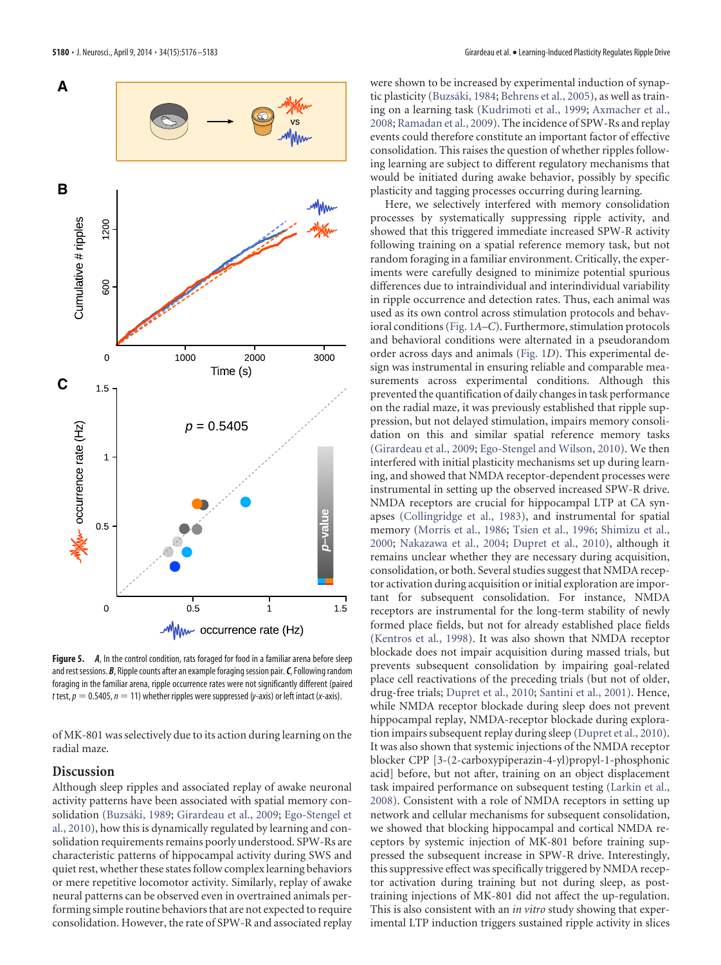

<span id="page-4-0"></span>**Figure 5.** *A*, In the control condition, rats foraged for food in a familiar arena before sleep and rest sessions. **B**, Ripple counts after an example foraging session pair. **C**, Following random foraging in the familiar arena, ripple occurrence rates were not significantly different (paired *t* test,  $p = 0.5405$ ,  $n = 11$ ) whether ripples were suppressed (*y*-axis) or left intact (*x*-axis).

of MK-801 was selectively due to its action during learning on the radial maze.

## **Discussion**

Although sleep ripples and associated replay of awake neuronal activity patterns have been associated with spatial memory con-solidation (Buzsáki, 1989; [Girardeau et al., 2009;](#page-6-9) [Ego-Stengel et](#page-6-10) [al., 2010\)](#page-6-10), how this is dynamically regulated by learning and consolidation requirements remains poorly understood. SPW-Rs are characteristic patterns of hippocampal activity during SWS and quiet rest, whether these states follow complex learning behaviors or mere repetitive locomotor activity. Similarly, replay of awake neural patterns can be observed even in overtrained animals performing simple routine behaviors that are not expected to require consolidation. However, the rate of SPW-R and associated replay were shown to be increased by experimental induction of synap-tic plasticity (Buzsáki, 1984; [Behrens et al., 2005\)](#page-6-22), as well as training on a learning task [\(Kudrimoti et al., 1999;](#page-6-23) [Axmacher et al.,](#page-6-24) [2008;](#page-6-24) [Ramadan et al., 2009\)](#page-7-6). The incidence of SPW-Rs and replay events could therefore constitute an important factor of effective consolidation. This raises the question of whether ripples following learning are subject to different regulatory mechanisms that would be initiated during awake behavior, possibly by specific plasticity and tagging processes occurring during learning.

Here, we selectively interfered with memory consolidation processes by systematically suppressing ripple activity, and showed that this triggered immediate increased SPW-R activity following training on a spatial reference memory task, but not random foraging in a familiar environment. Critically, the experiments were carefully designed to minimize potential spurious differences due to intraindividual and interindividual variability in ripple occurrence and detection rates. Thus, each animal was used as its own control across stimulation protocols and behavioral conditions [\(Fig. 1](#page-1-0)*A–C*). Furthermore, stimulation protocols and behavioral conditions were alternated in a pseudorandom order across days and animals [\(Fig. 1](#page-1-0)*D*). This experimental design was instrumental in ensuring reliable and comparable measurements across experimental conditions. Although this prevented the quantification of daily changes in task performance on the radial maze, it was previously established that ripple suppression, but not delayed stimulation, impairs memory consolidation on this and similar spatial reference memory tasks [\(Girardeau et al., 2009;](#page-6-9) [Ego-Stengel and Wilson, 2010\)](#page-6-10). We then interfered with initial plasticity mechanisms set up during learning, and showed that NMDA receptor-dependent processes were instrumental in setting up the observed increased SPW-R drive. NMDA receptors are crucial for hippocampal LTP at CA synapses [\(Collingridge et al., 1983\)](#page-6-25), and instrumental for spatial memory [\(Morris et al., 1986;](#page-7-7) [Tsien et al., 1996;](#page-7-8) [Shimizu et al.,](#page-7-9) [2000;](#page-7-9) [Nakazawa et al., 2004;](#page-7-10) [Dupret et al., 2010\)](#page-6-26), although it remains unclear whether they are necessary during acquisition, consolidation, or both. Several studies suggest that NMDA receptor activation during acquisition or initial exploration are important for subsequent consolidation. For instance, NMDA receptors are instrumental for the long-term stability of newly formed place fields, but not for already established place fields [\(Kentros et al., 1998\)](#page-6-27). It was also shown that NMDA receptor blockade does not impair acquisition during massed trials, but prevents subsequent consolidation by impairing goal-related place cell reactivations of the preceding trials (but not of older, drug-free trials; [Dupret et al., 2010;](#page-6-26) [Santini et al., 2001\)](#page-7-11). Hence, while NMDA receptor blockade during sleep does not prevent hippocampal replay, NMDA-receptor blockade during exploration impairs subsequent replay during sleep [\(Dupret et al., 2010\)](#page-6-26). It was also shown that systemic injections of the NMDA receptor blocker CPP [3-(2-carboxypiperazin-4-yl)propyl-1-phosphonic acid] before, but not after, training on an object displacement task impaired performance on subsequent testing [\(Larkin et al.,](#page-6-28) [2008\)](#page-6-28). Consistent with a role of NMDA receptors in setting up network and cellular mechanisms for subsequent consolidation, we showed that blocking hippocampal and cortical NMDA receptors by systemic injection of MK-801 before training suppressed the subsequent increase in SPW-R drive. Interestingly, this suppressive effect was specifically triggered by NMDA receptor activation during training but not during sleep, as posttraining injections of MK-801 did not affect the up-regulation. This is also consistent with an *in vitro* study showing that experimental LTP induction triggers sustained ripple activity in slices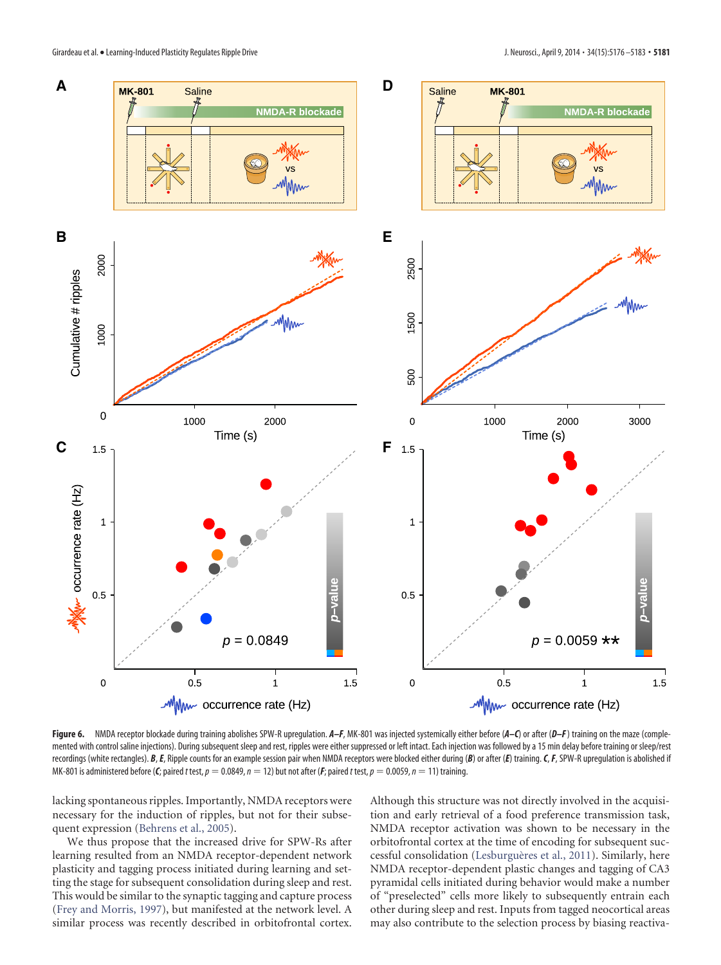

<span id="page-5-0"></span>**Figure 6.** NMDA receptor blockade during training abolishes SPW-R upregulation. *A–F*, MK-801 was injected systemically either before (*A–C*) or after (*D–F*) training on the maze (complemented with control saline injections). During subsequent sleep and rest, ripples were either suppressed or left intact. Each injection was followed by a 15 min delay before training or sleep/rest recordings (white rectangles). B, E, Ripple counts for an example session pair when NMDA receptors were blocked either during (B) or after (E) training. C, F, SPW-R upregulation is abolished if MK-801 is administered before (*C*; paired *t* test,  $p = 0.0849$ ,  $n = 12$ ) but not after (*F*; paired *t* test,  $p = 0.0059$ ,  $n = 11$ ) training.

lacking spontaneous ripples. Importantly, NMDA receptors were necessary for the induction of ripples, but not for their subsequent expression [\(Behrens et al., 2005\)](#page-6-22).

We thus propose that the increased drive for SPW-Rs after learning resulted from an NMDA receptor-dependent network plasticity and tagging process initiated during learning and setting the stage for subsequent consolidation during sleep and rest. This would be similar to the synaptic tagging and capture process [\(Frey and Morris, 1997\)](#page-6-19), but manifested at the network level. A similar process was recently described in orbitofrontal cortex. Although this structure was not directly involved in the acquisition and early retrieval of a food preference transmission task, NMDA receptor activation was shown to be necessary in the orbitofrontal cortex at the time of encoding for subsequent successful consolidation (Lesburguères et al., 2011). Similarly, here NMDA receptor-dependent plastic changes and tagging of CA3 pyramidal cells initiated during behavior would make a number of "preselected" cells more likely to subsequently entrain each other during sleep and rest. Inputs from tagged neocortical areas may also contribute to the selection process by biasing reactiva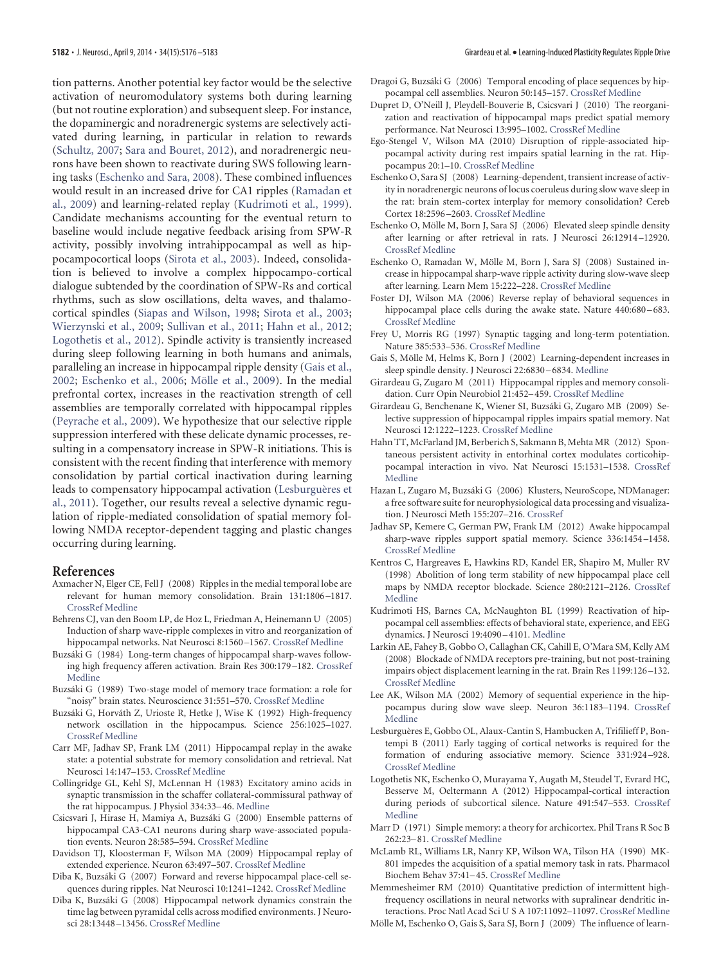tion patterns. Another potential key factor would be the selective activation of neuromodulatory systems both during learning (but not routine exploration) and subsequent sleep. For instance, the dopaminergic and noradrenergic systems are selectively activated during learning, in particular in relation to rewards [\(Schultz, 2007;](#page-7-12) [Sara and Bouret, 2012\)](#page-7-13), and noradrenergic neurons have been shown to reactivate during SWS following learning tasks [\(Eschenko and Sara, 2008\)](#page-6-29). These combined influences would result in an increased drive for CA1 ripples [\(Ramadan et](#page-7-6) [al., 2009\)](#page-7-6) and learning-related replay [\(Kudrimoti et al., 1999\)](#page-6-23). Candidate mechanisms accounting for the eventual return to baseline would include negative feedback arising from SPW-R activity, possibly involving intrahippocampal as well as hippocampocortical loops [\(Sirota et al., 2003\)](#page-7-14). Indeed, consolidation is believed to involve a complex hippocampo-cortical dialogue subtended by the coordination of SPW-Rs and cortical rhythms, such as slow oscillations, delta waves, and thalamocortical spindles [\(Siapas and Wilson, 1998;](#page-7-15) [Sirota et al., 2003;](#page-7-14) [Wierzynski et al., 2009;](#page-7-16) [Sullivan et al., 2011;](#page-7-17) [Hahn et al., 2012;](#page-6-30) [Logothetis et al., 2012\)](#page-6-31). Spindle activity is transiently increased during sleep following learning in both humans and animals, paralleling an increase in hippocampal ripple density [\(Gais et al.,](#page-6-32) [2002;](#page-6-32) [Eschenko et al., 2006;](#page-6-33) Mölle et al., 2009). In the medial prefrontal cortex, increases in the reactivation strength of cell assemblies are temporally correlated with hippocampal ripples [\(Peyrache et al., 2009\)](#page-7-18). We hypothesize that our selective ripple suppression interfered with these delicate dynamic processes, resulting in a compensatory increase in SPW-R initiations. This is consistent with the recent finding that interference with memory consolidation by partial cortical inactivation during learning leads to compensatory hippocampal activation (Lesburguères et [al., 2011\)](#page-6-20). Together, our results reveal a selective dynamic regulation of ripple-mediated consolidation of spatial memory following NMDA receptor-dependent tagging and plastic changes occurring during learning.

#### **References**

- <span id="page-6-24"></span>Axmacher N, Elger CE, Fell J (2008) Ripples in the medial temporal lobe are relevant for human memory consolidation. Brain 131:1806 –1817. [CrossRef](http://dx.doi.org/10.1093/brain/awn103) [Medline](http://www.ncbi.nlm.nih.gov/pubmed/18503077)
- <span id="page-6-22"></span>Behrens CJ, van den Boom LP, de Hoz L, Friedman A, Heinemann U (2005) Induction of sharp wave-ripple complexes in vitro and reorganization of hippocampal networks. Nat Neurosci 8:1560 –1567. [CrossRef](http://dx.doi.org/10.1038/nn1571) [Medline](http://www.ncbi.nlm.nih.gov/pubmed/16222227)
- <span id="page-6-7"></span>Buzsáki G (1984) Long-term changes of hippocampal sharp-waves following high frequency afferen activation. Brain Res 300:179 –182. [CrossRef](http://dx.doi.org/10.1016/0006-8993(84)91356-8) [Medline](http://www.ncbi.nlm.nih.gov/pubmed/6329428)
- <span id="page-6-8"></span>Buzsáki G (1989) Two-stage model of memory trace formation: a role for "noisy" brain states. Neuroscience 31:551–570. [CrossRef](http://dx.doi.org/10.1016/0306-4522(89)90423-5) [Medline](http://www.ncbi.nlm.nih.gov/pubmed/2687720)
- <span id="page-6-0"></span>Buzsáki G, Horváth Z, Urioste R, Hetke J, Wise K (1992) High-frequency network oscillation in the hippocampus. Science 256:1025–1027. [CrossRef](http://dx.doi.org/10.1126/science.1589772) [Medline](http://www.ncbi.nlm.nih.gov/pubmed/1589772)
- <span id="page-6-15"></span>Carr MF, Jadhav SP, Frank LM (2011) Hippocampal replay in the awake state: a potential substrate for memory consolidation and retrieval. Nat Neurosci 14:147–153. [CrossRef](http://dx.doi.org/10.1038/nn.2732) [Medline](http://www.ncbi.nlm.nih.gov/pubmed/21270783)
- <span id="page-6-25"></span>Collingridge GL, Kehl SJ, McLennan H (1983) Excitatory amino acids in synaptic transmission in the schaffer collateral-commissural pathway of the rat hippocampus. J Physiol 334:33–46. [Medline](http://www.ncbi.nlm.nih.gov/pubmed/6306230)
- <span id="page-6-1"></span>Csicsvari J, Hirase H, Mamiya A, Buzsáki G (2000) Ensemble patterns of hippocampal CA3-CA1 neurons during sharp wave-associated population events. Neuron 28:585–594. [CrossRef](http://dx.doi.org/10.1016/S0896-6273(00)00135-5) [Medline](http://www.ncbi.nlm.nih.gov/pubmed/11144366)
- <span id="page-6-6"></span>Davidson TJ, Kloosterman F, Wilson MA (2009) Hippocampal replay of extended experience. Neuron 63:497–507. [CrossRef](http://dx.doi.org/10.1016/j.neuron.2009.07.027) [Medline](http://www.ncbi.nlm.nih.gov/pubmed/19709631)
- <span id="page-6-14"></span>Diba K, Buzsáki G (2007) Forward and reverse hippocampal place-cell sequences during ripples. Nat Neurosci 10:1241–1242. [CrossRef](http://dx.doi.org/10.1038/nn1961) [Medline](http://www.ncbi.nlm.nih.gov/pubmed/17828259)
- <span id="page-6-4"></span>Diba K, Buzsáki G (2008) Hippocampal network dynamics constrain the time lag between pyramidal cells across modified environments. J Neurosci 28:13448 –13456. [CrossRef](http://dx.doi.org/10.1523/JNEUROSCI.3824-08.2008) [Medline](http://www.ncbi.nlm.nih.gov/pubmed/19074018)
- <span id="page-6-3"></span>Dragoi G, Buzsáki G (2006) Temporal encoding of place sequences by hippocampal cell assemblies. Neuron 50:145–157. [CrossRef](http://dx.doi.org/10.1016/j.neuron.2006.02.023) [Medline](http://www.ncbi.nlm.nih.gov/pubmed/16600862)
- <span id="page-6-26"></span>Dupret D, O'Neill J, Pleydell-Bouverie B, Csicsvari J (2010) The reorganization and reactivation of hippocampal maps predict spatial memory performance. Nat Neurosci 13:995–1002. [CrossRef](http://dx.doi.org/10.1038/nn.2599) [Medline](http://www.ncbi.nlm.nih.gov/pubmed/20639874)
- <span id="page-6-10"></span>Ego-Stengel V, Wilson MA (2010) Disruption of ripple-associated hippocampal activity during rest impairs spatial learning in the rat. Hippocampus 20:1–10. [CrossRef](http://dx.doi.org/10.1002/hipo.20707) [Medline](http://www.ncbi.nlm.nih.gov/pubmed/19816984)
- <span id="page-6-29"></span>Eschenko O, Sara SJ (2008) Learning-dependent, transient increase of activity in noradrenergic neurons of locus coeruleus during slow wave sleep in the rat: brain stem-cortex interplay for memory consolidation? Cereb Cortex 18:2596 –2603. [CrossRef](http://dx.doi.org/10.1093/cercor/bhn020) [Medline](http://www.ncbi.nlm.nih.gov/pubmed/18321875)
- <span id="page-6-33"></span>Eschenko O, Mölle M, Born J, Sara SJ (2006) Elevated sleep spindle density after learning or after retrieval in rats. J Neurosci 26:12914 –12920. [CrossRef](http://dx.doi.org/10.1523/JNEUROSCI.3175-06.2006) [Medline](http://www.ncbi.nlm.nih.gov/pubmed/17167082)
- <span id="page-6-17"></span>Eschenko O, Ramadan W, Mölle M, Born J, Sara SJ (2008) Sustained increase in hippocampal sharp-wave ripple activity during slow-wave sleep after learning. Learn Mem 15:222–228. [CrossRef](http://dx.doi.org/10.1101/lm.726008) [Medline](http://www.ncbi.nlm.nih.gov/pubmed/18385477)
- <span id="page-6-13"></span>Foster DJ, Wilson MA (2006) Reverse replay of behavioral sequences in hippocampal place cells during the awake state. Nature 440:680-683. [CrossRef](http://dx.doi.org/10.1038/nature04587) [Medline](http://www.ncbi.nlm.nih.gov/pubmed/16474382)
- <span id="page-6-19"></span>Frey U, Morris RG (1997) Synaptic tagging and long-term potentiation. Nature 385:533–536. [CrossRef](http://dx.doi.org/10.1038/385533a0) [Medline](http://www.ncbi.nlm.nih.gov/pubmed/9020359)
- <span id="page-6-32"></span>Gais S, Mölle M, Helms K, Born J (2002) Learning-dependent increases in sleep spindle density. J Neurosci 22:6830 –6834. [Medline](http://www.ncbi.nlm.nih.gov/pubmed/12151563)
- <span id="page-6-12"></span>Girardeau G, Zugaro M (2011) Hippocampal ripples and memory consolidation. Curr Opin Neurobiol 21:452–459. [CrossRef](http://dx.doi.org/10.1016/j.conb.2011.02.005) [Medline](http://www.ncbi.nlm.nih.gov/pubmed/21371881)
- <span id="page-6-9"></span>Girardeau G, Benchenane K, Wiener SI, Buzsáki G, Zugaro MB (2009) Selective suppression of hippocampal ripples impairs spatial memory. Nat Neurosci 12:1222–1223. [CrossRef](http://dx.doi.org/10.1038/nn.2384) [Medline](http://www.ncbi.nlm.nih.gov/pubmed/19749750)
- <span id="page-6-30"></span>Hahn TT, McFarland JM, Berberich S, Sakmann B, Mehta MR (2012) Spontaneous persistent activity in entorhinal cortex modulates corticohippocampal interaction in vivo. Nat Neurosci 15:1531–1538. [CrossRef](http://dx.doi.org/10.1038/nn.3236) [Medline](http://www.ncbi.nlm.nih.gov/pubmed/23042081)
- <span id="page-6-18"></span>Hazan L, Zugaro M, Buzsáki G (2006) Klusters, NeuroScope, NDManager: a free software suite for neurophysiological data processing and visualization. J Neurosci Meth 155:207–216. [CrossRef](http://dx.doi.org/10.1016/j.jneumeth.2006.01.017)
- <span id="page-6-16"></span>Jadhav SP, Kemere C, German PW, Frank LM (2012) Awake hippocampal sharp-wave ripples support spatial memory. Science 336:1454 –1458. [CrossRef](http://dx.doi.org/10.1126/science.1217230) [Medline](http://www.ncbi.nlm.nih.gov/pubmed/22555434)
- <span id="page-6-27"></span>Kentros C, Hargreaves E, Hawkins RD, Kandel ER, Shapiro M, Muller RV (1998) Abolition of long term stability of new hippocampal place cell maps by NMDA receptor blockade. Science 280:2121–2126. [CrossRef](http://dx.doi.org/10.1126/science.280.5372.2121) [Medline](http://www.ncbi.nlm.nih.gov/pubmed/9641919)
- <span id="page-6-23"></span>Kudrimoti HS, Barnes CA, McNaughton BL (1999) Reactivation of hippocampal cell assemblies: effects of behavioral state, experience, and EEG dynamics. J Neurosci 19:4090 –4101. [Medline](http://www.ncbi.nlm.nih.gov/pubmed/10234037)
- <span id="page-6-28"></span>Larkin AE, Fahey B, Gobbo O, Callaghan CK, Cahill E, O'Mara SM, Kelly AM (2008) Blockade of NMDA receptors pre-training, but not post-training impairs object displacement learning in the rat. Brain Res 1199:126 –132. [CrossRef](http://dx.doi.org/10.1016/j.brainres.2008.01.019) [Medline](http://www.ncbi.nlm.nih.gov/pubmed/18272142)
- <span id="page-6-5"></span>Lee AK, Wilson MA (2002) Memory of sequential experience in the hippocampus during slow wave sleep. Neuron 36:1183–1194. [CrossRef](http://dx.doi.org/10.1016/S0896-6273(02)01096-6) [Medline](http://www.ncbi.nlm.nih.gov/pubmed/12495631)
- <span id="page-6-20"></span>Lesburguères E, Gobbo OL, Alaux-Cantin S, Hambucken A, Trifilieff P, Bontempi B (2011) Early tagging of cortical networks is required for the formation of enduring associative memory. Science 331:924 –928. [CrossRef](http://dx.doi.org/10.1126/science.1196164) [Medline](http://www.ncbi.nlm.nih.gov/pubmed/21330548)
- <span id="page-6-31"></span>Logothetis NK, Eschenko O, Murayama Y, Augath M, Steudel T, Evrard HC, Besserve M, Oeltermann A (2012) Hippocampal-cortical interaction during periods of subcortical silence. Nature 491:547–553. [CrossRef](http://dx.doi.org/10.1038/nature11618) [Medline](http://www.ncbi.nlm.nih.gov/pubmed/23172213)
- <span id="page-6-11"></span>Marr D (1971) Simple memory: a theory for archicortex. Phil Trans R Soc B 262:23–81. [CrossRef](http://dx.doi.org/10.1098/rstb.1971.0078) [Medline](http://www.ncbi.nlm.nih.gov/pubmed/4399412)
- <span id="page-6-21"></span>McLamb RL, Williams LR, Nanry KP, Wilson WA, Tilson HA (1990) MK-801 impedes the acquisition of a spatial memory task in rats. Pharmacol Biochem Behav 37:41–45. [CrossRef](http://dx.doi.org/10.1016/0091-3057(90)90038-J) [Medline](http://www.ncbi.nlm.nih.gov/pubmed/2148213)
- <span id="page-6-2"></span>Memmesheimer RM (2010) Quantitative prediction of intermittent highfrequency oscillations in neural networks with supralinear dendritic interactions. Proc Natl Acad Sci U S A 107:11092–11097. [CrossRef](http://dx.doi.org/10.1073/pnas.0909615107) [Medline](http://www.ncbi.nlm.nih.gov/pubmed/20511534)
- <span id="page-6-34"></span>Mölle M, Eschenko O, Gais S, Sara SJ, Born J (2009) The influence of learn-